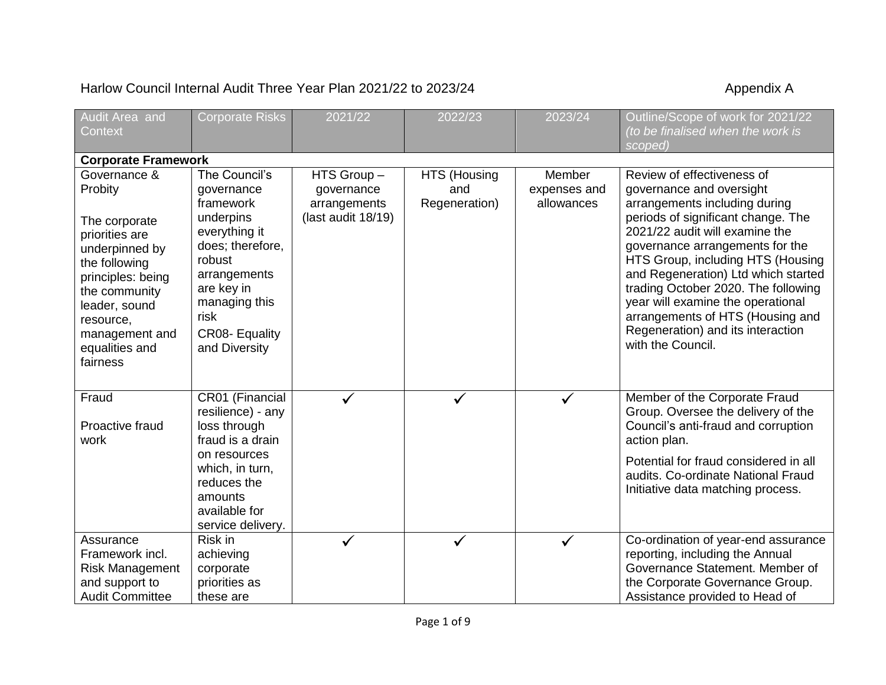## Harlow Council Internal Audit Three Year Plan 2021/22 to 2023/24 Appendix A

| Audit Area and                     | <b>Corporate Risks</b>                | 2021/22                            | 2022/23       | 2023/24                    | Outline/Scope of work for 2021/22                                   |  |  |  |  |  |
|------------------------------------|---------------------------------------|------------------------------------|---------------|----------------------------|---------------------------------------------------------------------|--|--|--|--|--|
| Context                            |                                       |                                    |               |                            | (to be finalised when the work is                                   |  |  |  |  |  |
|                                    | scoped)<br><b>Corporate Framework</b> |                                    |               |                            |                                                                     |  |  |  |  |  |
| Governance &                       | The Council's                         |                                    |               | Member                     | Review of effectiveness of                                          |  |  |  |  |  |
|                                    |                                       | HTS Group-                         | HTS (Housing  |                            |                                                                     |  |  |  |  |  |
| Probity                            | governance<br>framework               | governance                         | and           | expenses and<br>allowances | governance and oversight                                            |  |  |  |  |  |
|                                    | underpins                             | arrangements<br>(last audit 18/19) | Regeneration) |                            | arrangements including during<br>periods of significant change. The |  |  |  |  |  |
| The corporate                      | everything it                         |                                    |               |                            | 2021/22 audit will examine the                                      |  |  |  |  |  |
| priorities are                     | does; therefore,                      |                                    |               |                            | governance arrangements for the                                     |  |  |  |  |  |
| underpinned by                     | robust                                |                                    |               |                            | HTS Group, including HTS (Housing                                   |  |  |  |  |  |
| the following<br>principles: being | arrangements                          |                                    |               |                            | and Regeneration) Ltd which started                                 |  |  |  |  |  |
| the community                      | are key in                            |                                    |               |                            | trading October 2020. The following                                 |  |  |  |  |  |
| leader, sound                      | managing this                         |                                    |               |                            | year will examine the operational                                   |  |  |  |  |  |
| resource,                          | risk                                  |                                    |               |                            | arrangements of HTS (Housing and                                    |  |  |  |  |  |
| management and                     | CR08- Equality                        |                                    |               |                            | Regeneration) and its interaction                                   |  |  |  |  |  |
| equalities and                     | and Diversity                         |                                    |               |                            | with the Council.                                                   |  |  |  |  |  |
| fairness                           |                                       |                                    |               |                            |                                                                     |  |  |  |  |  |
|                                    |                                       |                                    |               |                            |                                                                     |  |  |  |  |  |
| Fraud                              | CR01 (Financial                       |                                    |               | $\checkmark$               | Member of the Corporate Fraud                                       |  |  |  |  |  |
|                                    | resilience) - any                     |                                    |               |                            | Group. Oversee the delivery of the                                  |  |  |  |  |  |
| Proactive fraud                    | loss through                          |                                    |               |                            | Council's anti-fraud and corruption                                 |  |  |  |  |  |
| work                               | fraud is a drain                      |                                    |               |                            | action plan.                                                        |  |  |  |  |  |
|                                    | on resources                          |                                    |               |                            | Potential for fraud considered in all                               |  |  |  |  |  |
|                                    | which, in turn,                       |                                    |               |                            | audits. Co-ordinate National Fraud                                  |  |  |  |  |  |
|                                    | reduces the                           |                                    |               |                            | Initiative data matching process.                                   |  |  |  |  |  |
|                                    | amounts                               |                                    |               |                            |                                                                     |  |  |  |  |  |
|                                    | available for                         |                                    |               |                            |                                                                     |  |  |  |  |  |
|                                    | service delivery.                     |                                    |               |                            |                                                                     |  |  |  |  |  |
| Assurance                          | Risk in                               |                                    |               | $\checkmark$               | Co-ordination of year-end assurance                                 |  |  |  |  |  |
| Framework incl.                    | achieving                             |                                    |               |                            | reporting, including the Annual                                     |  |  |  |  |  |
| <b>Risk Management</b>             | corporate                             |                                    |               |                            | Governance Statement. Member of                                     |  |  |  |  |  |
| and support to                     | priorities as                         |                                    |               |                            | the Corporate Governance Group.                                     |  |  |  |  |  |
| <b>Audit Committee</b>             | these are                             |                                    |               |                            | Assistance provided to Head of                                      |  |  |  |  |  |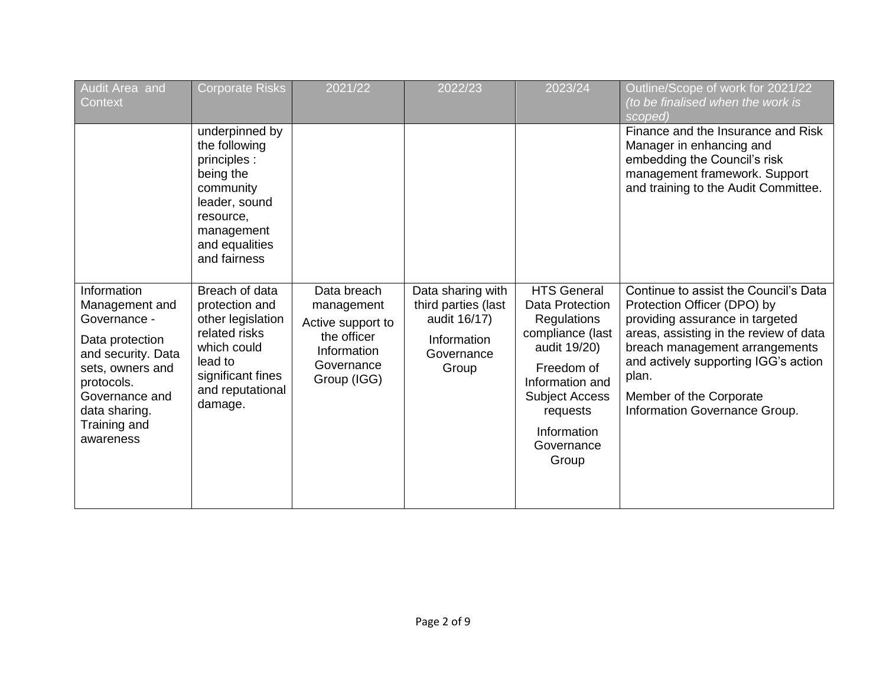| Audit Area and<br>Context                                                                                                                                                                | <b>Corporate Risks</b>                                                                                                                                  | 2021/22                                                                                                   | 2022/23                                                                                        | 2023/24                                                                                                                                                                                                            | Outline/Scope of work for 2021/22<br>(to be finalised when the work is<br>scoped)                                                                                                                                                                                                                |
|------------------------------------------------------------------------------------------------------------------------------------------------------------------------------------------|---------------------------------------------------------------------------------------------------------------------------------------------------------|-----------------------------------------------------------------------------------------------------------|------------------------------------------------------------------------------------------------|--------------------------------------------------------------------------------------------------------------------------------------------------------------------------------------------------------------------|--------------------------------------------------------------------------------------------------------------------------------------------------------------------------------------------------------------------------------------------------------------------------------------------------|
|                                                                                                                                                                                          | underpinned by<br>the following<br>principles :<br>being the<br>community<br>leader, sound<br>resource,<br>management<br>and equalities<br>and fairness |                                                                                                           |                                                                                                |                                                                                                                                                                                                                    | Finance and the Insurance and Risk<br>Manager in enhancing and<br>embedding the Council's risk<br>management framework. Support<br>and training to the Audit Committee.                                                                                                                          |
| Information<br>Management and<br>Governance -<br>Data protection<br>and security. Data<br>sets, owners and<br>protocols.<br>Governance and<br>data sharing.<br>Training and<br>awareness | Breach of data<br>protection and<br>other legislation<br>related risks<br>which could<br>lead to<br>significant fines<br>and reputational<br>damage.    | Data breach<br>management<br>Active support to<br>the officer<br>Information<br>Governance<br>Group (IGG) | Data sharing with<br>third parties (last<br>audit 16/17)<br>Information<br>Governance<br>Group | <b>HTS General</b><br><b>Data Protection</b><br><b>Regulations</b><br>compliance (last<br>audit 19/20)<br>Freedom of<br>Information and<br><b>Subject Access</b><br>requests<br>Information<br>Governance<br>Group | Continue to assist the Council's Data<br>Protection Officer (DPO) by<br>providing assurance in targeted<br>areas, assisting in the review of data<br>breach management arrangements<br>and actively supporting IGG's action<br>plan.<br>Member of the Corporate<br>Information Governance Group. |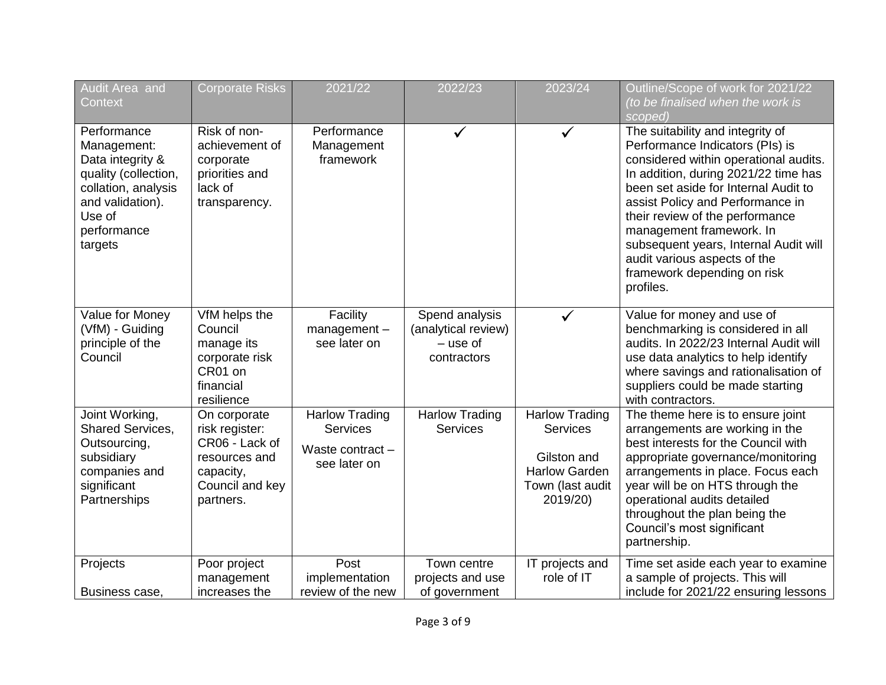| Audit Area and<br>Context                                                                                                                             | <b>Corporate Risks</b>                                                                                         | 2021/22                                                                      | 2022/23                                                            | 2023/24                                                                                                         | Outline/Scope of work for 2021/22<br>(to be finalised when the work is<br>scoped)                                                                                                                                                                                                                                                                                                                                    |
|-------------------------------------------------------------------------------------------------------------------------------------------------------|----------------------------------------------------------------------------------------------------------------|------------------------------------------------------------------------------|--------------------------------------------------------------------|-----------------------------------------------------------------------------------------------------------------|----------------------------------------------------------------------------------------------------------------------------------------------------------------------------------------------------------------------------------------------------------------------------------------------------------------------------------------------------------------------------------------------------------------------|
| Performance<br>Management:<br>Data integrity &<br>quality (collection,<br>collation, analysis<br>and validation).<br>Use of<br>performance<br>targets | Risk of non-<br>achievement of<br>corporate<br>priorities and<br>lack of<br>transparency.                      | Performance<br>Management<br>framework                                       | $\checkmark$                                                       | $\checkmark$                                                                                                    | The suitability and integrity of<br>Performance Indicators (PIs) is<br>considered within operational audits.<br>In addition, during 2021/22 time has<br>been set aside for Internal Audit to<br>assist Policy and Performance in<br>their review of the performance<br>management framework. In<br>subsequent years, Internal Audit will<br>audit various aspects of the<br>framework depending on risk<br>profiles. |
| Value for Money<br>(VfM) - Guiding<br>principle of the<br>Council                                                                                     | VfM helps the<br>Council<br>manage its<br>corporate risk<br>CR01 on<br>financial<br>resilience                 | Facility<br>management-<br>see later on                                      | Spend analysis<br>(analytical review)<br>$-$ use of<br>contractors | $\checkmark$                                                                                                    | Value for money and use of<br>benchmarking is considered in all<br>audits. In 2022/23 Internal Audit will<br>use data analytics to help identify<br>where savings and rationalisation of<br>suppliers could be made starting<br>with contractors.                                                                                                                                                                    |
| Joint Working,<br>Shared Services,<br>Outsourcing,<br>subsidiary<br>companies and<br>significant<br>Partnerships                                      | On corporate<br>risk register:<br>CR06 - Lack of<br>resources and<br>capacity,<br>Council and key<br>partners. | <b>Harlow Trading</b><br><b>Services</b><br>Waste contract -<br>see later on | <b>Harlow Trading</b><br><b>Services</b>                           | <b>Harlow Trading</b><br><b>Services</b><br>Gilston and<br><b>Harlow Garden</b><br>Town (last audit<br>2019/20) | The theme here is to ensure joint<br>arrangements are working in the<br>best interests for the Council with<br>appropriate governance/monitoring<br>arrangements in place. Focus each<br>year will be on HTS through the<br>operational audits detailed<br>throughout the plan being the<br>Council's most significant<br>partnership.                                                                               |
| Projects<br>Business case,                                                                                                                            | Poor project<br>management<br>increases the                                                                    | Post<br>implementation<br>review of the new                                  | Town centre<br>projects and use<br>of government                   | IT projects and<br>role of IT                                                                                   | Time set aside each year to examine<br>a sample of projects. This will<br>include for 2021/22 ensuring lessons                                                                                                                                                                                                                                                                                                       |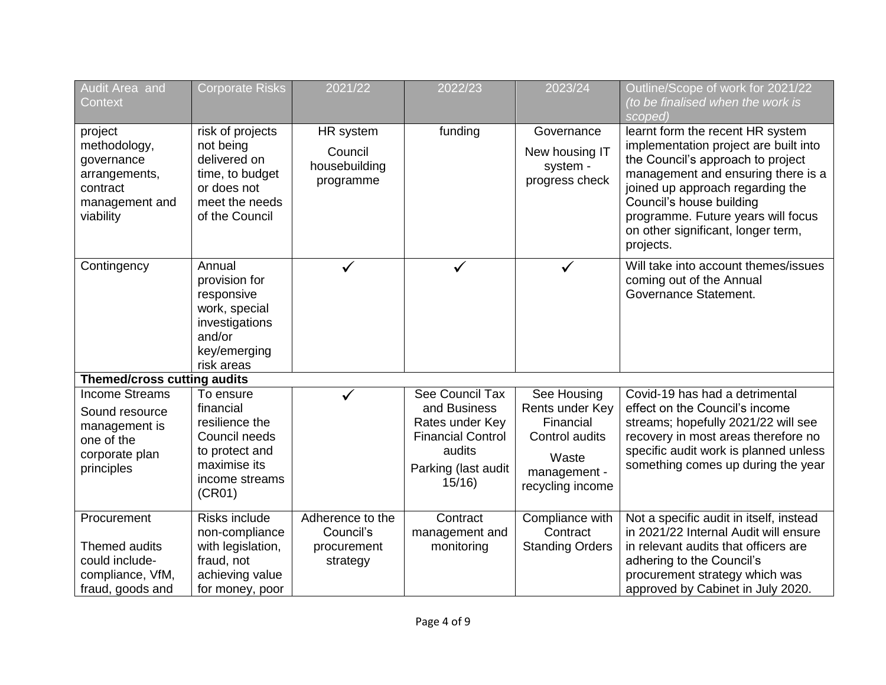| Audit Area and<br>Context                                                                              | <b>Corporate Risks</b>                                                                                                  | 2021/22                                                  | 2022/23                                                                                                                  | 2023/24                                                                                                    | Outline/Scope of work for 2021/22<br>(to be finalised when the work is<br>scoped)                                                                                                                                                                                                                             |
|--------------------------------------------------------------------------------------------------------|-------------------------------------------------------------------------------------------------------------------------|----------------------------------------------------------|--------------------------------------------------------------------------------------------------------------------------|------------------------------------------------------------------------------------------------------------|---------------------------------------------------------------------------------------------------------------------------------------------------------------------------------------------------------------------------------------------------------------------------------------------------------------|
| project<br>methodology,<br>governance<br>arrangements,<br>contract<br>management and<br>viability      | risk of projects<br>not being<br>delivered on<br>time, to budget<br>or does not<br>meet the needs<br>of the Council     | HR system<br>Council<br>housebuilding<br>programme       | funding                                                                                                                  | Governance<br>New housing IT<br>system -<br>progress check                                                 | learnt form the recent HR system<br>implementation project are built into<br>the Council's approach to project<br>management and ensuring there is a<br>joined up approach regarding the<br>Council's house building<br>programme. Future years will focus<br>on other significant, longer term,<br>projects. |
| Contingency                                                                                            | Annual<br>provision for<br>responsive<br>work, special<br>investigations<br>and/or<br>key/emerging<br>risk areas        |                                                          |                                                                                                                          |                                                                                                            | Will take into account themes/issues<br>coming out of the Annual<br>Governance Statement.                                                                                                                                                                                                                     |
| <b>Themed/cross cutting audits</b>                                                                     |                                                                                                                         |                                                          |                                                                                                                          |                                                                                                            |                                                                                                                                                                                                                                                                                                               |
| <b>Income Streams</b><br>Sound resource<br>management is<br>one of the<br>corporate plan<br>principles | To ensure<br>financial<br>resilience the<br>Council needs<br>to protect and<br>maximise its<br>income streams<br>(CR01) |                                                          | See Council Tax<br>and Business<br>Rates under Key<br><b>Financial Control</b><br>audits<br>Parking (last audit<br>15/16 | See Housing<br>Rents under Key<br>Financial<br>Control audits<br>Waste<br>management -<br>recycling income | Covid-19 has had a detrimental<br>effect on the Council's income<br>streams; hopefully 2021/22 will see<br>recovery in most areas therefore no<br>specific audit work is planned unless<br>something comes up during the year                                                                                 |
| Procurement<br>Themed audits<br>could include-<br>compliance, VfM,<br>fraud, goods and                 | <b>Risks include</b><br>non-compliance<br>with legislation,<br>fraud, not<br>achieving value<br>for money, poor         | Adherence to the<br>Council's<br>procurement<br>strategy | Contract<br>management and<br>monitoring                                                                                 | Compliance with<br>Contract<br><b>Standing Orders</b>                                                      | Not a specific audit in itself, instead<br>in 2021/22 Internal Audit will ensure<br>in relevant audits that officers are<br>adhering to the Council's<br>procurement strategy which was<br>approved by Cabinet in July 2020.                                                                                  |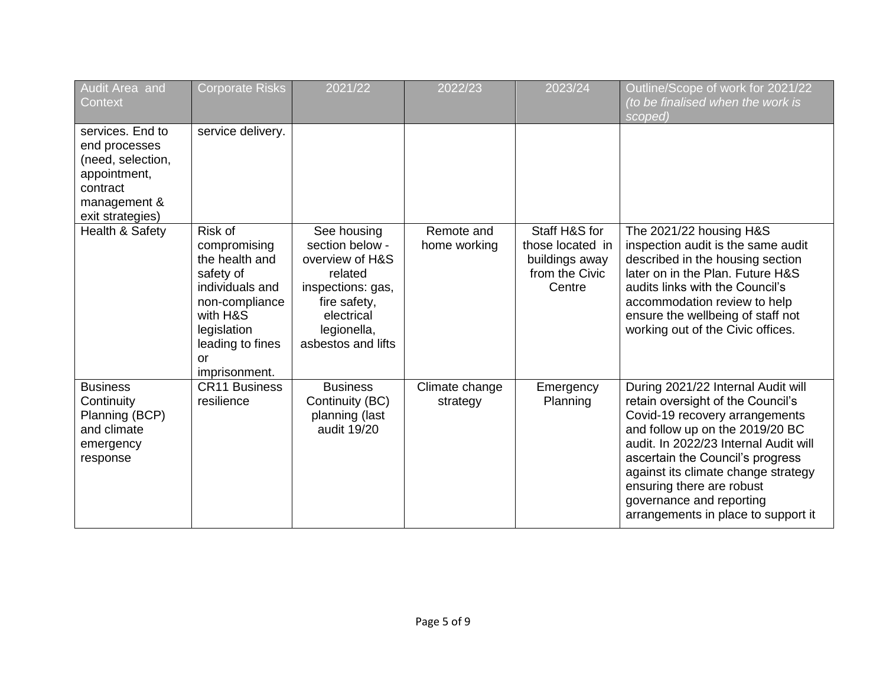| Audit Area and<br><b>Context</b>                                                                                       | <b>Corporate Risks</b>                                                                                                                                                   | 2021/22                                                                                                                                              | 2022/23                    | 2023/24                                                                         | Outline/Scope of work for 2021/22<br>(to be finalised when the work is<br>scoped)                                                                                                                                                                                                                                                                                |
|------------------------------------------------------------------------------------------------------------------------|--------------------------------------------------------------------------------------------------------------------------------------------------------------------------|------------------------------------------------------------------------------------------------------------------------------------------------------|----------------------------|---------------------------------------------------------------------------------|------------------------------------------------------------------------------------------------------------------------------------------------------------------------------------------------------------------------------------------------------------------------------------------------------------------------------------------------------------------|
| services. End to<br>end processes<br>(need, selection,<br>appointment,<br>contract<br>management &<br>exit strategies) | service delivery.                                                                                                                                                        |                                                                                                                                                      |                            |                                                                                 |                                                                                                                                                                                                                                                                                                                                                                  |
| Health & Safety                                                                                                        | <b>Risk of</b><br>compromising<br>the health and<br>safety of<br>individuals and<br>non-compliance<br>with H&S<br>legislation<br>leading to fines<br>or<br>imprisonment. | See housing<br>section below -<br>overview of H&S<br>related<br>inspections: gas,<br>fire safety,<br>electrical<br>legionella,<br>asbestos and lifts | Remote and<br>home working | Staff H&S for<br>those located in<br>buildings away<br>from the Civic<br>Centre | The 2021/22 housing H&S<br>inspection audit is the same audit<br>described in the housing section<br>later on in the Plan. Future H&S<br>audits links with the Council's<br>accommodation review to help<br>ensure the wellbeing of staff not<br>working out of the Civic offices.                                                                               |
| <b>Business</b><br>Continuity<br>Planning (BCP)<br>and climate<br>emergency<br>response                                | <b>CR11 Business</b><br>resilience                                                                                                                                       | <b>Business</b><br>Continuity (BC)<br>planning (last<br>audit 19/20                                                                                  | Climate change<br>strategy | Emergency<br>Planning                                                           | During 2021/22 Internal Audit will<br>retain oversight of the Council's<br>Covid-19 recovery arrangements<br>and follow up on the 2019/20 BC<br>audit. In 2022/23 Internal Audit will<br>ascertain the Council's progress<br>against its climate change strategy<br>ensuring there are robust<br>governance and reporting<br>arrangements in place to support it |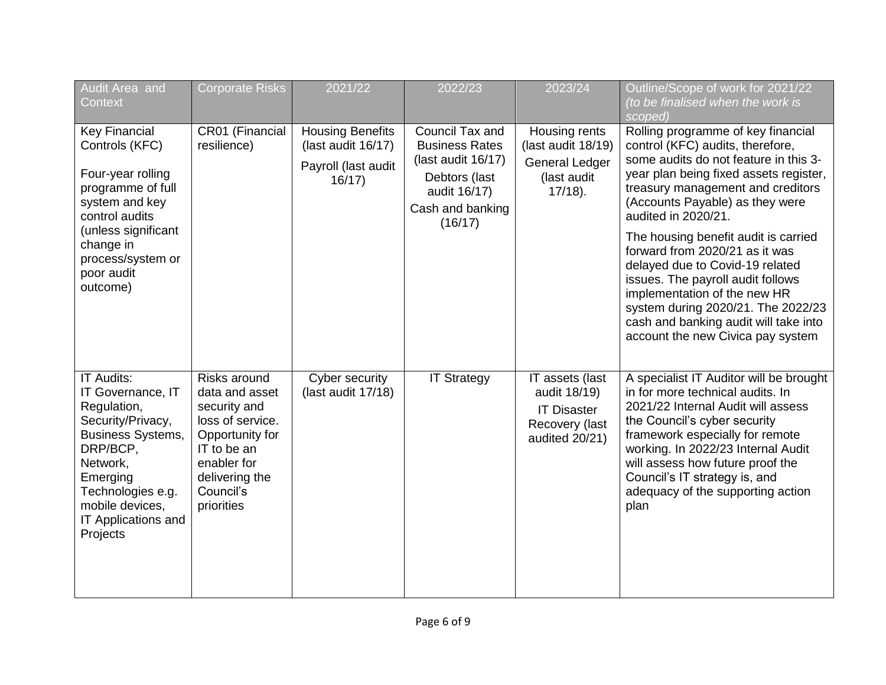| Audit Area and<br>Context                                                                                                                                                                                             | <b>Corporate Risks</b>                                                                                                                                           | 2021/22                                                                       | 2022/23                                                                                                                        | 2023/24                                                                                   | Outline/Scope of work for 2021/22<br>(to be finalised when the work is<br>scoped)                                                                                                                                                                                                                                                                                                                                                                                                                                                                              |
|-----------------------------------------------------------------------------------------------------------------------------------------------------------------------------------------------------------------------|------------------------------------------------------------------------------------------------------------------------------------------------------------------|-------------------------------------------------------------------------------|--------------------------------------------------------------------------------------------------------------------------------|-------------------------------------------------------------------------------------------|----------------------------------------------------------------------------------------------------------------------------------------------------------------------------------------------------------------------------------------------------------------------------------------------------------------------------------------------------------------------------------------------------------------------------------------------------------------------------------------------------------------------------------------------------------------|
| <b>Key Financial</b><br>Controls (KFC)<br>Four-year rolling<br>programme of full<br>system and key<br>control audits<br>(unless significant<br>change in<br>process/system or<br>poor audit<br>outcome)               | CR01 (Financial<br>resilience)                                                                                                                                   | <b>Housing Benefits</b><br>(last audit 16/17)<br>Payroll (last audit<br>16/17 | Council Tax and<br><b>Business Rates</b><br>(last audit 16/17)<br>Debtors (last<br>audit 16/17)<br>Cash and banking<br>(16/17) | Housing rents<br>(last audit 18/19)<br><b>General Ledger</b><br>(last audit<br>$17/18$ ). | Rolling programme of key financial<br>control (KFC) audits, therefore,<br>some audits do not feature in this 3-<br>year plan being fixed assets register,<br>treasury management and creditors<br>(Accounts Payable) as they were<br>audited in 2020/21.<br>The housing benefit audit is carried<br>forward from 2020/21 as it was<br>delayed due to Covid-19 related<br>issues. The payroll audit follows<br>implementation of the new HR<br>system during 2020/21. The 2022/23<br>cash and banking audit will take into<br>account the new Civica pay system |
| <b>IT Audits:</b><br>IT Governance, IT<br>Regulation,<br>Security/Privacy,<br><b>Business Systems,</b><br>DRP/BCP,<br>Network,<br>Emerging<br>Technologies e.g.<br>mobile devices,<br>IT Applications and<br>Projects | Risks around<br>data and asset<br>security and<br>loss of service.<br>Opportunity for<br>IT to be an<br>enabler for<br>delivering the<br>Council's<br>priorities | Cyber security<br>(last audit 17/18)                                          | <b>IT Strategy</b>                                                                                                             | IT assets (last<br>audit 18/19)<br><b>IT Disaster</b><br>Recovery (last<br>audited 20/21) | A specialist IT Auditor will be brought<br>in for more technical audits. In<br>2021/22 Internal Audit will assess<br>the Council's cyber security<br>framework especially for remote<br>working. In 2022/23 Internal Audit<br>will assess how future proof the<br>Council's IT strategy is, and<br>adequacy of the supporting action<br>plan                                                                                                                                                                                                                   |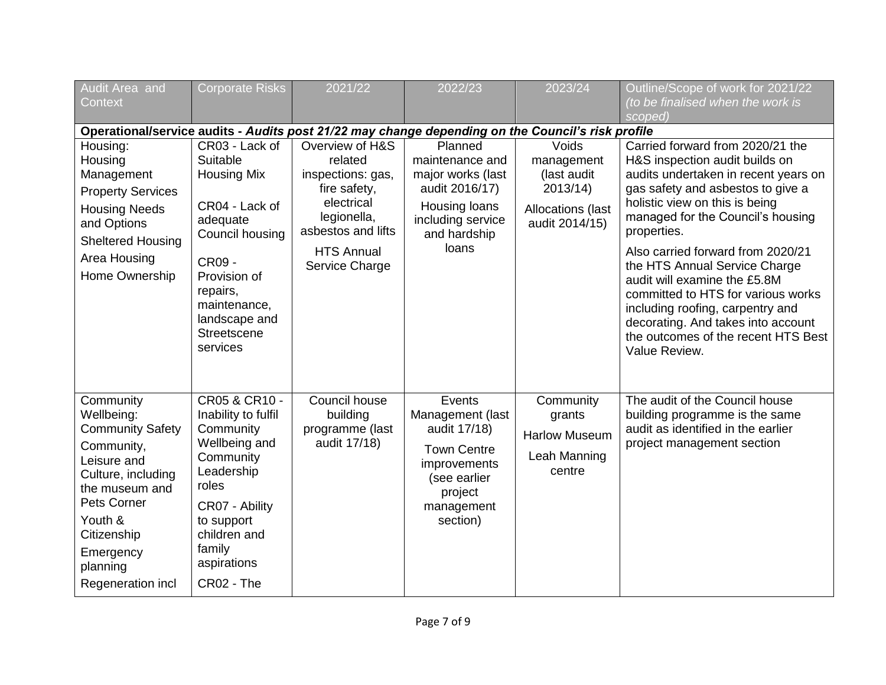| <b>Audit Area</b> and<br>Context                                                                                                                                                                               | <b>Corporate Risks</b>                                                                                                                                                                                     | 2021/22                                                                                                                                                   | 2022/23                                                                                                                               | 2023/24                                                                              | Outline/Scope of work for 2021/22<br>(to be finalised when the work is<br>scoped)                                                                                                                                                                                                                                                                                                                                                                                                                                   |
|----------------------------------------------------------------------------------------------------------------------------------------------------------------------------------------------------------------|------------------------------------------------------------------------------------------------------------------------------------------------------------------------------------------------------------|-----------------------------------------------------------------------------------------------------------------------------------------------------------|---------------------------------------------------------------------------------------------------------------------------------------|--------------------------------------------------------------------------------------|---------------------------------------------------------------------------------------------------------------------------------------------------------------------------------------------------------------------------------------------------------------------------------------------------------------------------------------------------------------------------------------------------------------------------------------------------------------------------------------------------------------------|
|                                                                                                                                                                                                                |                                                                                                                                                                                                            |                                                                                                                                                           | Operational/service audits - Audits post 21/22 may change depending on the Council's risk profile                                     |                                                                                      |                                                                                                                                                                                                                                                                                                                                                                                                                                                                                                                     |
| Housing:<br>Housing<br>Management<br><b>Property Services</b><br><b>Housing Needs</b><br>and Options<br><b>Sheltered Housing</b><br>Area Housing<br>Home Ownership                                             | CR03 - Lack of<br>Suitable<br><b>Housing Mix</b><br>CR04 - Lack of<br>adequate<br>Council housing<br><b>CR09 -</b><br>Provision of<br>repairs,<br>maintenance,<br>landscape and<br>Streetscene<br>services | Overview of H&S<br>related<br>inspections: gas,<br>fire safety,<br>electrical<br>legionella,<br>asbestos and lifts<br><b>HTS Annual</b><br>Service Charge | Planned<br>maintenance and<br>major works (last<br>audit 2016/17)<br>Housing loans<br>including service<br>and hardship<br>loans      | Voids<br>management<br>(last audit<br>2013/14<br>Allocations (last<br>audit 2014/15) | Carried forward from 2020/21 the<br>H&S inspection audit builds on<br>audits undertaken in recent years on<br>gas safety and asbestos to give a<br>holistic view on this is being<br>managed for the Council's housing<br>properties.<br>Also carried forward from 2020/21<br>the HTS Annual Service Charge<br>audit will examine the £5.8M<br>committed to HTS for various works<br>including roofing, carpentry and<br>decorating. And takes into account<br>the outcomes of the recent HTS Best<br>Value Review. |
| Community<br>Wellbeing:<br><b>Community Safety</b><br>Community,<br>Leisure and<br>Culture, including<br>the museum and<br>Pets Corner<br>Youth &<br>Citizenship<br>Emergency<br>planning<br>Regeneration incl | CR05 & CR10 -<br>Inability to fulfil<br>Community<br>Wellbeing and<br>Community<br>Leadership<br>roles<br>CR07 - Ability<br>to support<br>children and<br>family<br>aspirations<br>CR02 - The              | Council house<br>building<br>programme (last<br>audit 17/18)                                                                                              | Events<br>Management (last<br>audit 17/18)<br><b>Town Centre</b><br>improvements<br>(see earlier<br>project<br>management<br>section) | Community<br>grants<br><b>Harlow Museum</b><br>Leah Manning<br>centre                | The audit of the Council house<br>building programme is the same<br>audit as identified in the earlier<br>project management section                                                                                                                                                                                                                                                                                                                                                                                |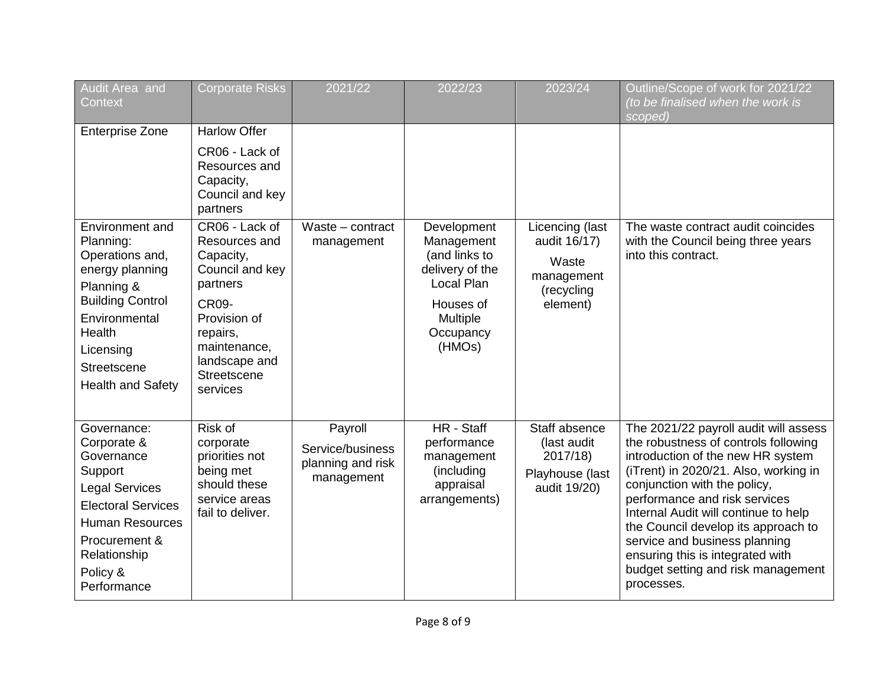| Audit Area and<br><b>Context</b>                                                                                                                                                                | <b>Corporate Risks</b>                                                                                                                                                              | 2021/22                                                        | 2022/23                                                                                                                            | 2023/24                                                                          | Outline/Scope of work for 2021/22<br>(to be finalised when the work is<br>scoped)                                                                                                                                                                                                                                                                                                                                                    |
|-------------------------------------------------------------------------------------------------------------------------------------------------------------------------------------------------|-------------------------------------------------------------------------------------------------------------------------------------------------------------------------------------|----------------------------------------------------------------|------------------------------------------------------------------------------------------------------------------------------------|----------------------------------------------------------------------------------|--------------------------------------------------------------------------------------------------------------------------------------------------------------------------------------------------------------------------------------------------------------------------------------------------------------------------------------------------------------------------------------------------------------------------------------|
| <b>Enterprise Zone</b>                                                                                                                                                                          | <b>Harlow Offer</b><br>CR06 - Lack of<br>Resources and<br>Capacity,<br>Council and key<br>partners                                                                                  |                                                                |                                                                                                                                    |                                                                                  |                                                                                                                                                                                                                                                                                                                                                                                                                                      |
| Environment and<br>Planning:<br>Operations and,<br>energy planning<br>Planning &<br><b>Building Control</b><br>Environmental<br>Health<br>Licensing<br>Streetscene<br><b>Health and Safety</b>  | CR06 - Lack of<br>Resources and<br>Capacity,<br>Council and key<br>partners<br><b>CR09-</b><br>Provision of<br>repairs,<br>maintenance,<br>landscape and<br>Streetscene<br>services | Waste - contract<br>management                                 | Development<br>Management<br>(and links to<br>delivery of the<br>Local Plan<br>Houses of<br><b>Multiple</b><br>Occupancy<br>(HMOs) | Licencing (last<br>audit 16/17)<br>Waste<br>management<br>(recycling<br>element) | The waste contract audit coincides<br>with the Council being three years<br>into this contract.                                                                                                                                                                                                                                                                                                                                      |
| Governance:<br>Corporate &<br>Governance<br>Support<br><b>Legal Services</b><br><b>Electoral Services</b><br><b>Human Resources</b><br>Procurement &<br>Relationship<br>Policy &<br>Performance | Risk of<br>corporate<br>priorities not<br>being met<br>should these<br>service areas<br>fail to deliver.                                                                            | Payroll<br>Service/business<br>planning and risk<br>management | HR - Staff<br>performance<br>management<br>(including<br>appraisal<br>arrangements)                                                | Staff absence<br>(last audit<br>2017/18)<br>Playhouse (last<br>audit 19/20)      | The 2021/22 payroll audit will assess<br>the robustness of controls following<br>introduction of the new HR system<br>(iTrent) in 2020/21. Also, working in<br>conjunction with the policy,<br>performance and risk services<br>Internal Audit will continue to help<br>the Council develop its approach to<br>service and business planning<br>ensuring this is integrated with<br>budget setting and risk management<br>processes. |